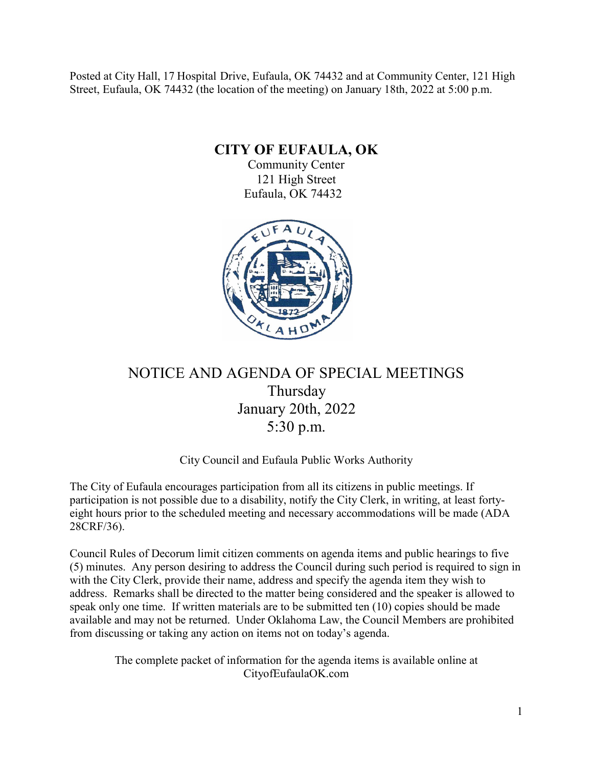Posted at City Hall, 17 Hospital Drive, Eufaula, OK 74432 and at Community Center, 121 High Street, Eufaula, OK 74432 (the location of the meeting) on January 18th, 2022 at 5:00 p.m.

**CITY OF EUFAULA, OK**

Community Center 121 High Street Eufaula, OK 74432



# NOTICE AND AGENDA OF SPECIAL MEETINGS Thursday January 20th, 2022 5:30 p.m.

### City Council and Eufaula Public Works Authority

The City of Eufaula encourages participation from all its citizens in public meetings. If participation is not possible due to a disability, notify the City Clerk, in writing, at least fortyeight hours prior to the scheduled meeting and necessary accommodations will be made (ADA 28CRF/36).

Council Rules of Decorum limit citizen comments on agenda items and public hearings to five (5) minutes. Any person desiring to address the Council during such period is required to sign in with the City Clerk, provide their name, address and specify the agenda item they wish to address. Remarks shall be directed to the matter being considered and the speaker is allowed to speak only one time. If written materials are to be submitted ten (10) copies should be made available and may not be returned. Under Oklahoma Law, the Council Members are prohibited from discussing or taking any action on items not on today's agenda.

> The complete packet of information for the agenda items is available online at CityofEufaulaOK.com